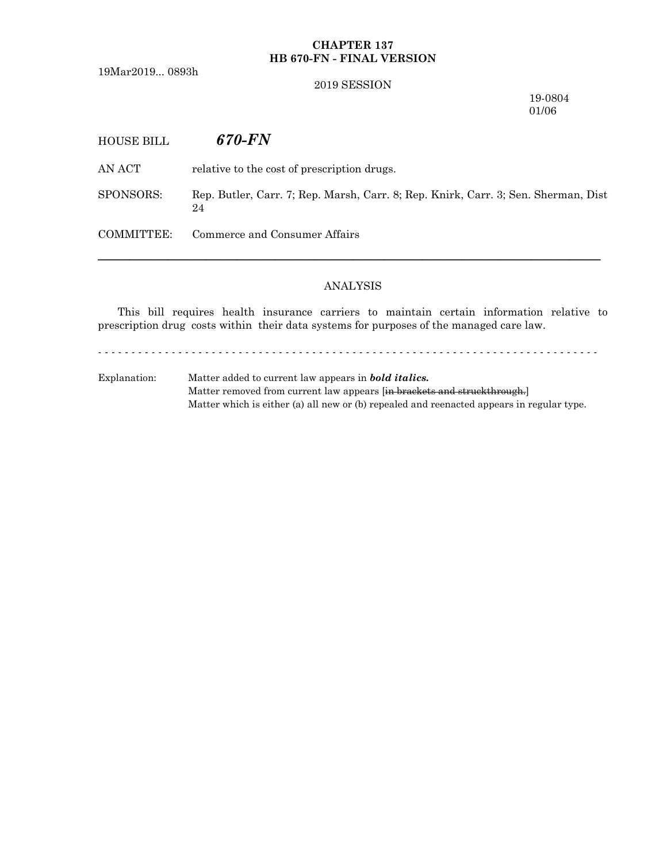## **CHAPTER 137 HB 670-FN - FINAL VERSION**

19Mar2019... 0893h

### 2019 SESSION

19-0804 01/06

HOUSE BILL *670-FN*

AN ACT relative to the cost of prescription drugs.

SPONSORS: Rep. Butler, Carr. 7; Rep. Marsh, Carr. 8; Rep. Knirk, Carr. 3; Sen. Sherman, Dist 24

COMMITTEE: Commerce and Consumer Affairs

### ANALYSIS

─────────────────────────────────────────────────────────────────

This bill requires health insurance carriers to maintain certain information relative to prescription drug costs within their data systems for purposes of the managed care law.

- - - - - - - - - - - - - - - - - - - - - - - - - - - - - - - - - - - - - - - - - - - - - - - - - - - - - - - - - - - - - - - - - - - - - - - - - - -

Explanation: Matter added to current law appears in *bold italics.* Matter removed from current law appears [in brackets and struckthrough.] Matter which is either (a) all new or (b) repealed and reenacted appears in regular type.